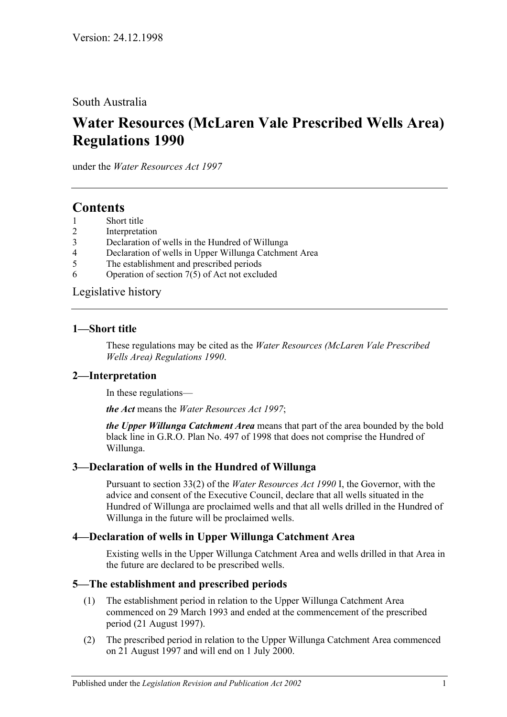South Australia

# **Water Resources (McLaren Vale Prescribed Wells Area) Regulations 1990**

under the *Water Resources Act 1997*

## **Contents**

- 1 [Short title](#page-0-0)
- 2 [Interpretation](#page-0-1)
- 3 [Declaration of wells in the Hundred of Willunga](#page-0-2)
- 4 [Declaration of wells in Upper Willunga Catchment Area](#page-0-3)
- 5 [The establishment and prescribed periods](#page-0-4)
- 6 [Operation of section 7\(5\) of Act not excluded](#page-1-0)

[Legislative history](#page-2-0)

#### <span id="page-0-0"></span>**1—Short title**

These regulations may be cited as the *Water Resources (McLaren Vale Prescribed Wells Area) Regulations 1990*.

### <span id="page-0-1"></span>**2—Interpretation**

In these regulations—

*the Act* means the *[Water Resources Act](http://www.legislation.sa.gov.au/index.aspx?action=legref&type=act&legtitle=Water%20Resources%20Act%201997) 1997*;

*the Upper Willunga Catchment Area* means that part of the area bounded by the bold black line in G.R.O. Plan No. 497 of 1998 that does not comprise the Hundred of Willunga.

### <span id="page-0-2"></span>**3—Declaration of wells in the Hundred of Willunga**

Pursuant to section 33(2) of the *[Water Resources Act](http://www.legislation.sa.gov.au/index.aspx?action=legref&type=act&legtitle=Water%20Resources%20Act%201990) 1990* I, the Governor, with the advice and consent of the Executive Council, declare that all wells situated in the Hundred of Willunga are proclaimed wells and that all wells drilled in the Hundred of Willunga in the future will be proclaimed wells.

#### <span id="page-0-3"></span>**4—Declaration of wells in Upper Willunga Catchment Area**

Existing wells in the Upper Willunga Catchment Area and wells drilled in that Area in the future are declared to be prescribed wells.

#### <span id="page-0-4"></span>**5—The establishment and prescribed periods**

- (1) The establishment period in relation to the Upper Willunga Catchment Area commenced on 29 March 1993 and ended at the commencement of the prescribed period (21 August 1997).
- (2) The prescribed period in relation to the Upper Willunga Catchment Area commenced on 21 August 1997 and will end on 1 July 2000.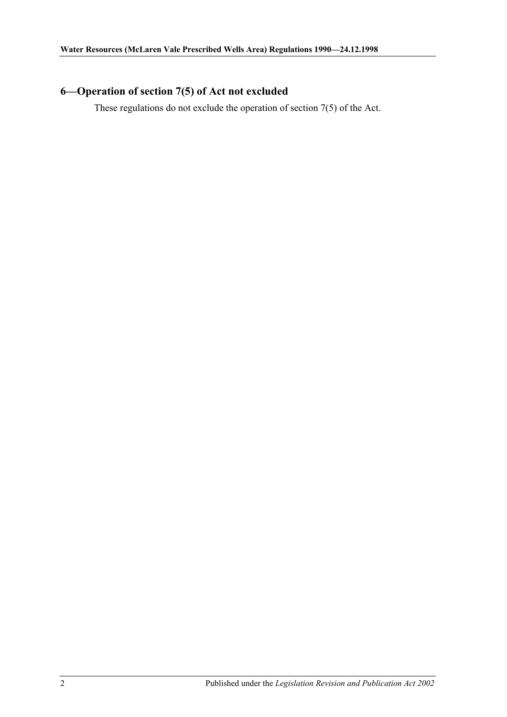## <span id="page-1-0"></span>**6—Operation of section 7(5) of Act not excluded**

These regulations do not exclude the operation of section 7(5) of the Act.